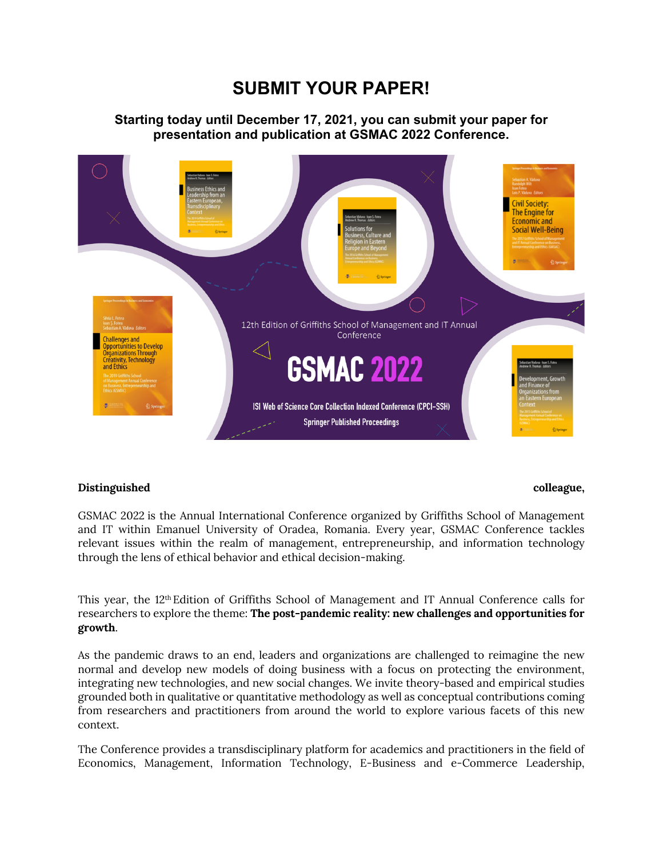# **SUBMIT YOUR PAPER!**

## **Starting today until December 17, 2021, you can submit your paper for presentation and publication at GSMAC 2022 Conference.**



### **Distinguished colleague,**

GSMAC 2022 is the Annual International Conference organized by Griffiths School of Management and IT within Emanuel University of Oradea, Romania. Every year, GSMAC Conference tackles relevant issues within the realm of management, entrepreneurship, and information technology through the lens of ethical behavior and ethical decision-making.

This year, the 12th Edition of Griffiths School of Management and IT Annual Conference calls for researchers to explore the theme: **The post-pandemic reality: new challenges and opportunities for growth**.

As the pandemic draws to an end, leaders and organizations are challenged to reimagine the new normal and develop new models of doing business with a focus on protecting the environment, integrating new technologies, and new social changes. We invite theory-based and empirical studies grounded both in qualitative or quantitative methodology as well as conceptual contributions coming from researchers and practitioners from around the world to explore various facets of this new context.

The Conference provides a transdisciplinary platform for academics and practitioners in the field of Economics, Management, Information Technology, E-Business and e-Commerce Leadership,